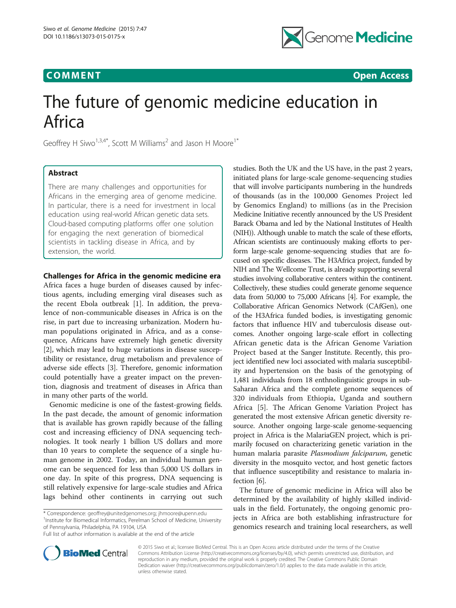# **COMMENT COMMENT COMMENT**



# The future of genomic medicine education in Africa

Geoffrey H Siwo<sup>1,3,4\*</sup>, Scott M Williams<sup>2</sup> and Jason H Moore<sup>1\*</sup>

## Abstract

There are many challenges and opportunities for Africans in the emerging area of genome medicine. In particular, there is a need for investment in local education using real-world African genetic data sets. Cloud-based computing platforms offer one solution for engaging the next generation of biomedical scientists in tackling disease in Africa, and by extension, the world.

## Challenges for Africa in the genomic medicine era

Africa faces a huge burden of diseases caused by infectious agents, including emerging viral diseases such as the recent Ebola outbreak [\[1\]](#page-1-0). In addition, the prevalence of non-communicable diseases in Africa is on the rise, in part due to increasing urbanization. Modern human populations originated in Africa, and as a consequence, Africans have extremely high genetic diversity [[2\]](#page-2-0), which may lead to huge variations in disease susceptibility or resistance, drug metabolism and prevalence of adverse side effects [\[3](#page-2-0)]. Therefore, genomic information could potentially have a greater impact on the prevention, diagnosis and treatment of diseases in Africa than in many other parts of the world.

Genomic medicine is one of the fastest-growing fields. In the past decade, the amount of genomic information that is available has grown rapidly because of the falling cost and increasing efficiency of DNA sequencing technologies. It took nearly 1 billion US dollars and more than 10 years to complete the sequence of a single human genome in 2002. Today, an individual human genome can be sequenced for less than 5,000 US dollars in one day. In spite of this progress, DNA sequencing is still relatively expensive for large-scale studies and Africa lags behind other continents in carrying out such

\* Correspondence: [geoffrey@unitedgenomes.org](mailto:geoffrey@unitedgenomes.org); [jhmoore@upenn.edu](mailto:jhmoore@upenn.edu) <sup>1</sup> <sup>1</sup> Institute for Biomedical Informatics, Perelman School of Medicine, University of Pennsylvania, Philadelphia, PA 19104, USA

Full list of author information is available at the end of the article

studies. Both the UK and the US have, in the past 2 years, initiated plans for large-scale genome-sequencing studies that will involve participants numbering in the hundreds of thousands (as in the 100,000 Genomes Project led by Genomics England) to millions (as in the Precision Medicine Initiative recently announced by the US President Barack Obama and led by the National Institutes of Health (NIH)). Although unable to match the scale of these efforts, African scientists are continuously making efforts to perform large-scale genome-sequencing studies that are focused on specific diseases. The H3Africa project, funded by NIH and The Wellcome Trust, is already supporting several studies involving collaborative centers within the continent. Collectively, these studies could generate genome sequence data from 50,000 to 75,000 Africans [\[4\]](#page-2-0). For example, the Collaborative African Genomics Network (CAfGen), one of the H3Africa funded bodies, is investigating genomic factors that influence HIV and tuberculosis disease outcomes. Another ongoing large-scale effort in collecting African genetic data is the African Genome Variation Project based at the Sanger Institute. Recently, this project identified new loci associated with malaria susceptibility and hypertension on the basis of the genotyping of 1,481 individuals from 18 enthnolinguistic groups in sub-Saharan Africa and the complete genome sequences of 320 individuals from Ethiopia, Uganda and southern Africa [[5\]](#page-2-0). The African Genome Variation Project has generated the most extensive African genetic diversity resource. Another ongoing large-scale genome-sequencing project in Africa is the MalariaGEN project, which is primarily focused on characterizing genetic variation in the human malaria parasite Plasmodium falciparum, genetic diversity in the mosquito vector, and host genetic factors that influence susceptibility and resistance to malaria infection [[6\]](#page-2-0).

The future of genomic medicine in Africa will also be determined by the availability of highly skilled individuals in the field. Fortunately, the ongoing genomic projects in Africa are both establishing infrastructure for genomics research and training local researchers, as well



© 2015 Siwo et al.; licensee BioMed Central. This is an Open Access article distributed under the terms of the Creative Commons Attribution License [\(http://creativecommons.org/licenses/by/4.0\)](http://creativecommons.org/licenses/by/4.0), which permits unrestricted use, distribution, and reproduction in any medium, provided the original work is properly credited. The Creative Commons Public Domain Dedication waiver [\(http://creativecommons.org/publicdomain/zero/1.0/](http://creativecommons.org/publicdomain/zero/1.0/)) applies to the data made available in this article, unless otherwise stated.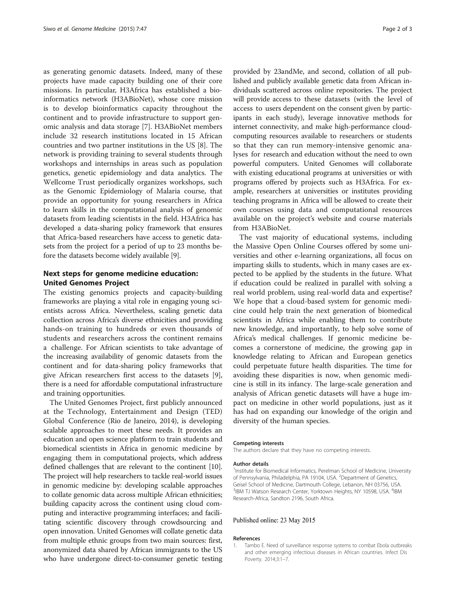<span id="page-1-0"></span>as generating genomic datasets. Indeed, many of these projects have made capacity building one of their core missions. In particular, H3Africa has established a bioinformatics network (H3ABioNet), whose core mission is to develop bioinformatics capacity throughout the continent and to provide infrastructure to support genomic analysis and data storage [\[7](#page-2-0)]. H3ABioNet members include 32 research institutions located in 15 African countries and two partner institutions in the US [\[8](#page-2-0)]. The network is providing training to several students through workshops and internships in areas such as population genetics, genetic epidemiology and data analytics. The Wellcome Trust periodically organizes workshops, such as the Genomic Epidemiology of Malaria course, that provide an opportunity for young researchers in Africa to learn skills in the computational analysis of genomic datasets from leading scientists in the field. H3Africa has developed a data-sharing policy framework that ensures that Africa-based researchers have access to genetic datasets from the project for a period of up to 23 months before the datasets become widely available [\[9](#page-2-0)].

## Next steps for genome medicine education: United Genomes Project

The existing genomics projects and capacity-building frameworks are playing a vital role in engaging young scientists across Africa. Nevertheless, scaling genetic data collection across Africa's diverse ethnicities and providing hands-on training to hundreds or even thousands of students and researchers across the continent remains a challenge. For African scientists to take advantage of the increasing availability of genomic datasets from the continent and for data-sharing policy frameworks that give African researchers first access to the datasets [[9](#page-2-0)], there is a need for affordable computational infrastructure and training opportunities.

The United Genomes Project, first publicly announced at the Technology, Entertainment and Design (TED) Global Conference (Rio de Janeiro, 2014), is developing scalable approaches to meet these needs. It provides an education and open science platform to train students and biomedical scientists in Africa in genomic medicine by engaging them in computational projects, which address defined challenges that are relevant to the continent [[10](#page-2-0)]. The project will help researchers to tackle real-world issues in genomic medicine by: developing scalable approaches to collate genomic data across multiple African ethnicities; building capacity across the continent using cloud computing and interactive programming interfaces; and facilitating scientific discovery through crowdsourcing and open innovation. United Genomes will collate genetic data from multiple ethnic groups from two main sources: first, anonymized data shared by African immigrants to the US who have undergone direct-to-consumer genetic testing

provided by 23andMe, and second, collation of all published and publicly available genetic data from African individuals scattered across online repositories. The project will provide access to these datasets (with the level of access to users dependent on the consent given by participants in each study), leverage innovative methods for internet connectivity, and make high-performance cloudcomputing resources available to researchers or students so that they can run memory-intensive genomic analyses for research and education without the need to own powerful computers. United Genomes will collaborate with existing educational programs at universities or with programs offered by projects such as H3Africa. For example, researchers at universities or institutes providing teaching programs in Africa will be allowed to create their own courses using data and computational resources available on the project's website and course materials from H3ABioNet.

The vast majority of educational systems, including the Massive Open Online Courses offered by some universities and other e-learning organizations, all focus on imparting skills to students, which in many cases are expected to be applied by the students in the future. What if education could be realized in parallel with solving a real world problem, using real-world data and expertise? We hope that a cloud-based system for genomic medicine could help train the next generation of biomedical scientists in Africa while enabling them to contribute new knowledge, and importantly, to help solve some of Africa's medical challenges. If genomic medicine becomes a cornerstone of medicine, the growing gap in knowledge relating to African and European genetics could perpetuate future health disparities. The time for avoiding these disparities is now, when genomic medicine is still in its infancy. The large-scale generation and analysis of African genetic datasets will have a huge impact on medicine in other world populations, just as it has had on expanding our knowledge of the origin and diversity of the human species.

### Competing interests

The authors declare that they have no competing interests.

#### Author details

<sup>1</sup>Institute for Biomedical Informatics, Perelman School of Medicine, University of Pennsylvania, Philadelphia, PA 19104, USA. <sup>2</sup>Department of Genetics Geisel School of Medicine, Dartmouth College, Lebanon, NH 03756, USA. <sup>3</sup>IBM TJ Watson Research Center, Yorktown Heights, NY 10598, USA. <sup>4</sup>IBM Research-Africa, Sandton 2196, South Africa.

## Published online: 23 May 2015

#### References

1. Tambo E. Need of surveillance response systems to combat Ebola outbreaks and other emerging infectious diseases in African countries. Infect Dis Poverty. 2014;3:1–7.